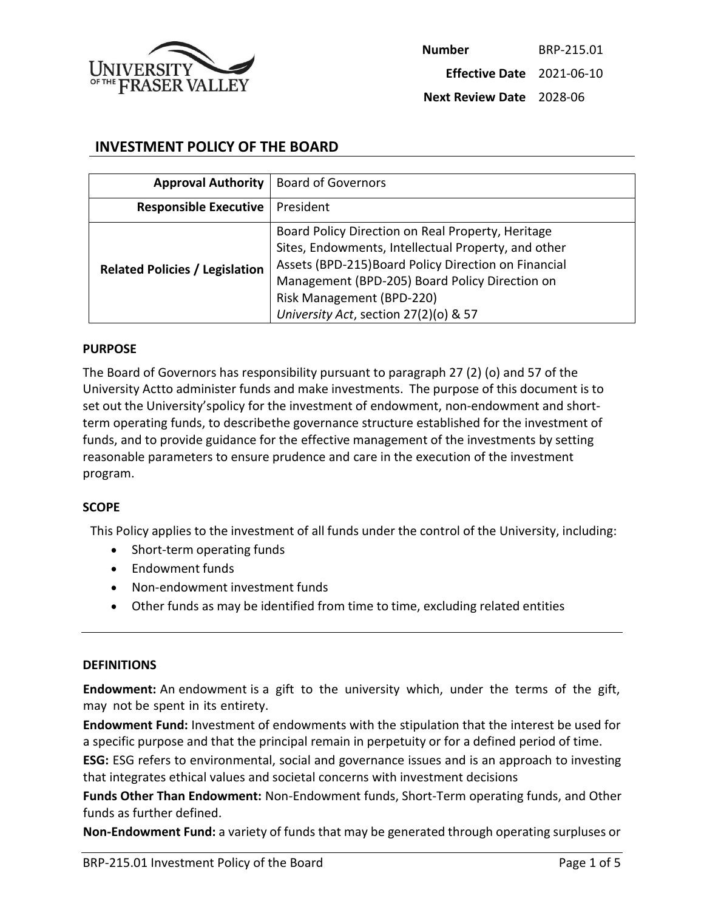

# **INVESTMENT POLICY OF THE BOARD**

| <b>Approval Authority</b>             | <b>Board of Governors</b>                                                                                                                                                                                                                                                                |
|---------------------------------------|------------------------------------------------------------------------------------------------------------------------------------------------------------------------------------------------------------------------------------------------------------------------------------------|
| <b>Responsible Executive</b>          | President                                                                                                                                                                                                                                                                                |
| <b>Related Policies / Legislation</b> | Board Policy Direction on Real Property, Heritage<br>Sites, Endowments, Intellectual Property, and other<br>Assets (BPD-215) Board Policy Direction on Financial<br>Management (BPD-205) Board Policy Direction on<br>Risk Management (BPD-220)<br>University Act, section 27(2)(o) & 57 |

#### **PURPOSE**

The Board of Governors has responsibility pursuant to paragraph 27 (2) (o) and 57 of the University Actto administer funds and make investments. The purpose of this document is to set out the University'spolicy for the investment of endowment, non-endowment and shortterm operating funds, to describethe governance structure established for the investment of funds, and to provide guidance for the effective management of the investments by setting reasonable parameters to ensure prudence and care in the execution of the investment program.

#### **SCOPE**

This Policy applies to the investment of all funds under the control of the University, including:

- Short-term operating funds
- Endowment funds
- Non-endowment investment funds
- Other funds as may be identified from time to time, excluding related entities

#### **DEFINITIONS**

**Endowment:** An endowment is a gift to the university which, under the terms of the gift, may not be spent in its entirety.

**Endowment Fund:** Investment of endowments with the stipulation that the interest be used for a specific purpose and that the principal remain in perpetuity or for a defined period of time.

**ESG:** ESG refers to environmental, social and governance issues and is an approach to investing that integrates ethical values and societal concerns with investment decisions

**Funds Other Than Endowment:** Non-Endowment funds, Short-Term operating funds, and Other funds as further defined.

**Non-Endowment Fund:** a variety of funds that may be generated through operating surpluses or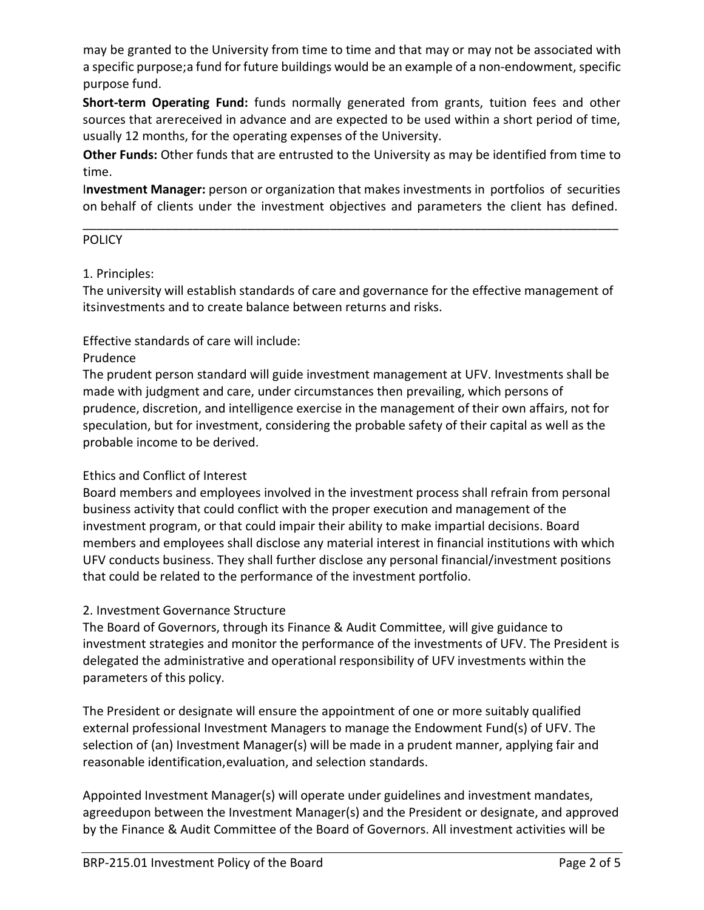may be granted to the University from time to time and that may or may not be associated with a specific purpose; a fund for future buildings would be an example of a non-endowment, specific purpose fund.

**Short-term Operating Fund:** funds normally generated from grants, tuition fees and other sources that arereceived in advance and are expected to be used within a short period of time, usually 12 months, for the operating expenses of the University.

**Other Funds:** Other funds that are entrusted to the University as may be identified from time to time.

I**nvestment Manager:** person or organization that makes investments in portfolios of securities on behalf of clients under the investment objectives and parameters the client has defined.

\_\_\_\_\_\_\_\_\_\_\_\_\_\_\_\_\_\_\_\_\_\_\_\_\_\_\_\_\_\_\_\_\_\_\_\_\_\_\_\_\_\_\_\_\_\_\_\_\_\_\_\_\_\_\_\_\_\_\_\_\_\_\_\_\_\_\_\_\_\_\_\_\_\_\_\_\_\_

### **POLICY**

#### 1. Principles:

The university will establish standards of care and governance for the effective management of itsinvestments and to create balance between returns and risks.

# Effective standards of care will include:

#### Prudence

The prudent person standard will guide investment management at UFV. Investments shall be made with judgment and care, under circumstances then prevailing, which persons of prudence, discretion, and intelligence exercise in the management of their own affairs, not for speculation, but for investment, considering the probable safety of their capital as well as the probable income to be derived.

### Ethics and Conflict of Interest

Board members and employees involved in the investment process shall refrain from personal business activity that could conflict with the proper execution and management of the investment program, or that could impair their ability to make impartial decisions. Board members and employees shall disclose any material interest in financial institutions with which UFV conducts business. They shall further disclose any personal financial/investment positions that could be related to the performance of the investment portfolio.

### 2. Investment Governance Structure

The Board of Governors, through its Finance & Audit Committee, will give guidance to investment strategies and monitor the performance of the investments of UFV. The President is delegated the administrative and operational responsibility of UFV investments within the parameters of this policy.

The President or designate will ensure the appointment of one or more suitably qualified external professional Investment Managers to manage the Endowment Fund(s) of UFV. The selection of (an) Investment Manager(s) will be made in a prudent manner, applying fair and reasonable identification,evaluation, and selection standards.

Appointed Investment Manager(s) will operate under guidelines and investment mandates, agreedupon between the Investment Manager(s) and the President or designate, and approved by the Finance & Audit Committee of the Board of Governors. All investment activities will be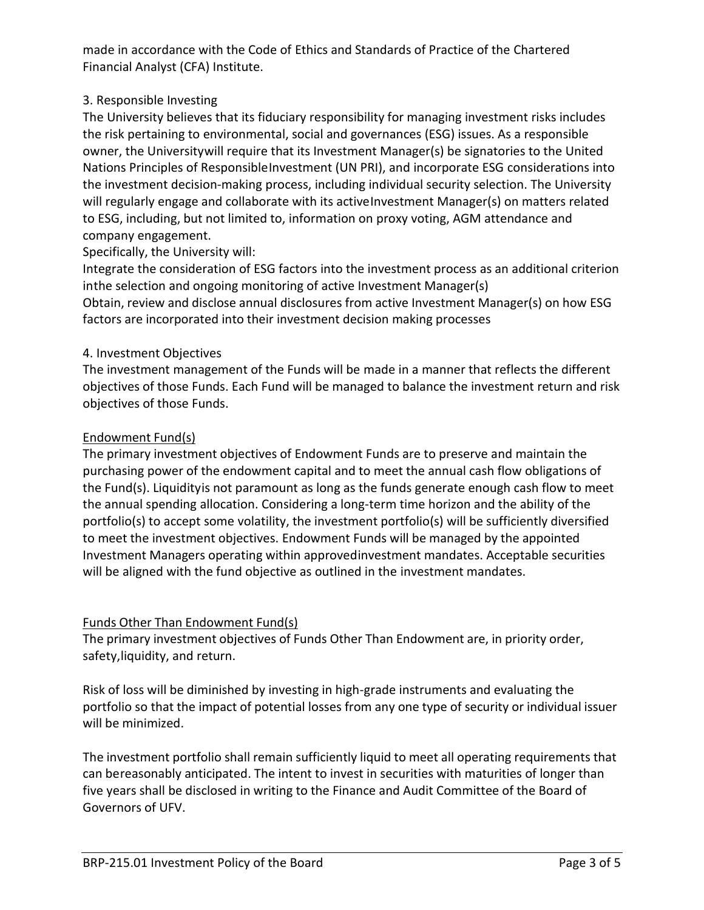made in accordance with the Code of Ethics and Standards of Practice of the Chartered Financial Analyst (CFA) Institute.

# 3. Responsible Investing

The University believes that its fiduciary responsibility for managing investment risks includes the risk pertaining to environmental, social and governances (ESG) issues. As a responsible owner, the Universitywill require that its Investment Manager(s) be signatories to the United Nations Principles of ResponsibleInvestment (UN PRI), and incorporate ESG considerations into the investment decision-making process, including individual security selection. The University will regularly engage and collaborate with its activeInvestment Manager(s) on matters related to ESG, including, but not limited to, information on proxy voting, AGM attendance and company engagement.

# Specifically, the University will:

Integrate the consideration of ESG factors into the investment process as an additional criterion inthe selection and ongoing monitoring of active Investment Manager(s) Obtain, review and disclose annual disclosures from active Investment Manager(s) on how ESG factors are incorporated into their investment decision making processes

# 4. Investment Objectives

The investment management of the Funds will be made in a manner that reflects the different objectives of those Funds. Each Fund will be managed to balance the investment return and risk objectives of those Funds.

### Endowment Fund(s)

The primary investment objectives of Endowment Funds are to preserve and maintain the purchasing power of the endowment capital and to meet the annual cash flow obligations of the Fund(s). Liquidityis not paramount as long as the funds generate enough cash flow to meet the annual spending allocation. Considering a long-term time horizon and the ability of the portfolio(s) to accept some volatility, the investment portfolio(s) will be sufficiently diversified to meet the investment objectives. Endowment Funds will be managed by the appointed Investment Managers operating within approvedinvestment mandates. Acceptable securities will be aligned with the fund objective as outlined in the investment mandates.

# Funds Other Than Endowment Fund(s)

The primary investment objectives of Funds Other Than Endowment are, in priority order, safety,liquidity, and return.

Risk of loss will be diminished by investing in high-grade instruments and evaluating the portfolio so that the impact of potential losses from any one type of security or individual issuer will be minimized.

The investment portfolio shall remain sufficiently liquid to meet all operating requirements that can bereasonably anticipated. The intent to invest in securities with maturities of longer than five years shall be disclosed in writing to the Finance and Audit Committee of the Board of Governors of UFV.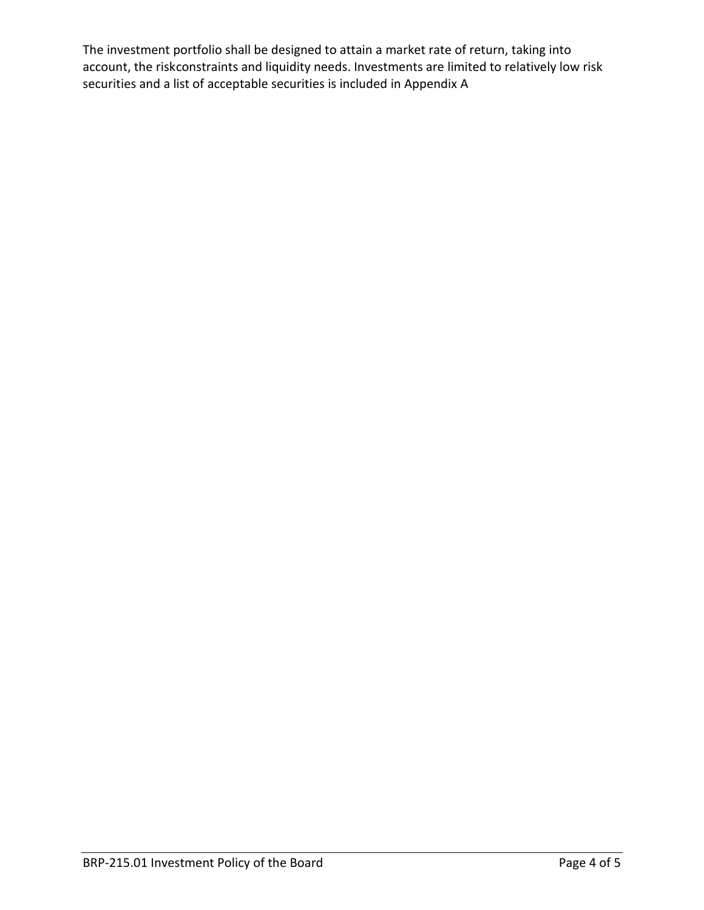The investment portfolio shall be designed to attain a market rate of return, taking into account, the riskconstraints and liquidity needs. Investments are limited to relatively low risk securities and a list of acceptable securities is included in Appendix A